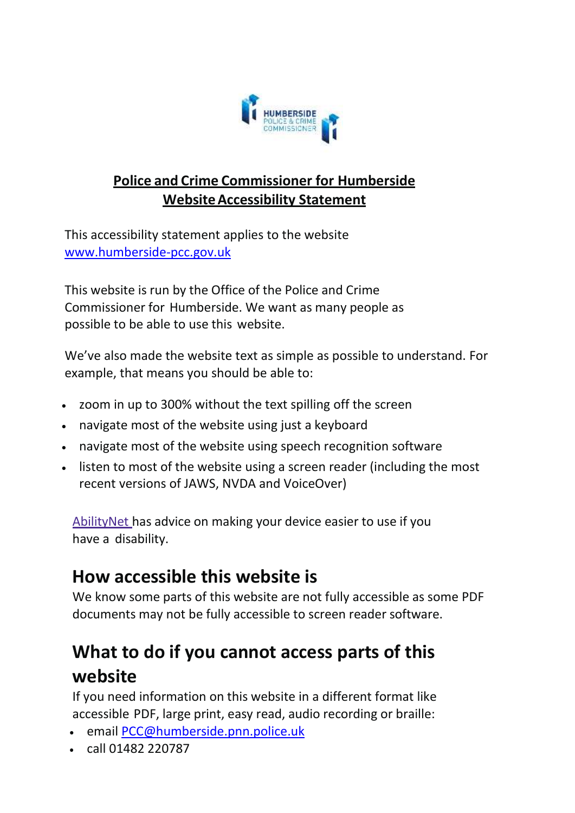

#### **Police and Crime Commissioner for Humberside WebsiteAccessibility Statement**

This accessibility statement applies to the website [www.humberside-pcc.gov.uk](http://www.humberside-pcc.gov.uk/)

This website is run by the Office of the Police and Crime Commissioner for Humberside. We want as many people as possible to be able to use this website.

We've also made the website text as simple as possible to understand. For example, that means you should be able to:

- zoom in up to 300% without the text spilling off the screen
- navigate most of the website using just a keyboard
- navigate most of the website using speech recognition software
- listen to most of the website using a screen reader (including the most recent versions of JAWS, NVDA and VoiceOver)

[AbilityNet](https://mcmw.abilitynet.org.uk/) has advice on making your device easier to use if you have a disability.

### **How accessible this website is**

We know some parts of this website are not fully accessible as some PDF documents may not be fully accessible to screen reader software.

## **What to do if you cannot access parts of this website**

If you need information on this website in a different format like accessible PDF, large print, easy read, audio recording or braille:

- email [PCC@humberside.pnn.police.uk](mailto:PCC@humberside.pnn.police.uk)
- call 01482 220787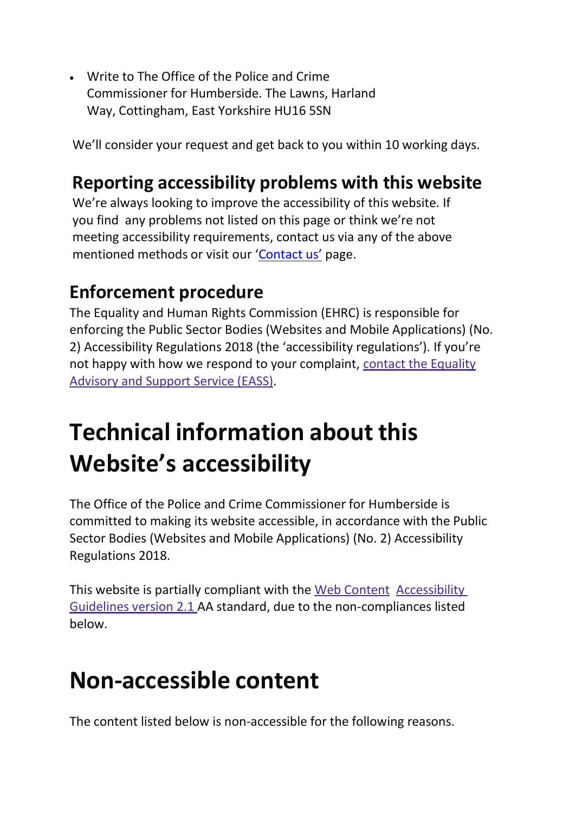Write to The Office of the Police and Crime Commissioner for Humberside. The Lawns, Harland Way, Cottingham, East Yorkshire HU16 5SN

We'll consider your request and get back to you within 10 working days.

## **Reporting accessibility problems with this website**

We're always looking to improve the accessibility of this website. If you find any problems not listed on this page or think we're not meeting accessibility requirements, contact us via any of the above mentioned methods or visit our ['Contact us'](https://www.humberside-pcc.gov.uk/Contact/Contact-Us.aspx) page.

## **Enforcement procedure**

The Equality and Human Rights Commission (EHRC) is responsible for enforcing the Public Sector Bodies (Websites and Mobile Applications) (No. 2) Accessibility Regulations 2018 (the 'accessibility regulations'). If you're not happy with how we respond to your complaint, contact the [Equality](https://www.equalityadvisoryservice.com/) [Advisory and](https://www.equalityadvisoryservice.com/) Support Service (EASS).

# **Technical information about this Website's accessibility**

The Office of the Police and Crime Commissioner for Humberside is committed to making its website accessible, in accordance with the Public Sector Bodies (Websites and Mobile Applications) (No. 2) Accessibility Regulations 2018.

This website is partially compliant with the Web [Content](https://www.w3.org/TR/WCAG21/) [Accessibility](https://www.w3.org/TR/WCAG21/)  [Guidelines](https://www.w3.org/TR/WCAG21/) version 2.1 AA standard, due to the non-compliances listed below.

## **Non-accessible content**

The content listed below is non-accessible for the following reasons.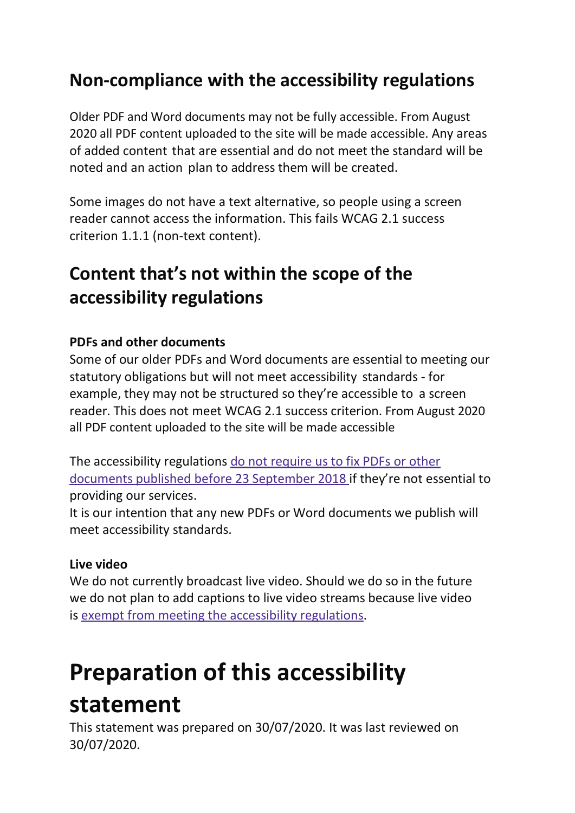### **Non-compliance with the accessibility regulations**

Older PDF and Word documents may not be fully accessible. From August 2020 all PDF content uploaded to the site will be made accessible. Any areas of added content that are essential and do not meet the standard will be noted and an action plan to address them will be created.

Some images do not have a text alternative, so people using a screen reader cannot access the information. This fails WCAG 2.1 success criterion 1.1.1 (non-text content).

## **Content that's not within the scope of the accessibility regulations**

#### **PDFs and other documents**

Some of our older PDFs and Word documents are essential to meeting our statutory obligations but will not meet accessibility standards - for example, they may not be structured so they're accessible to a screen reader. This does not meet WCAG 2.1 success criterion. From August 2020 all PDF content uploaded to the site will be made accessible

The accessibility regulations do not [require](http://www.legislation.gov.uk/uksi/2018/952/regulation/4/made) us to fix PDFs or other documents published before [23 September 2018 i](http://www.legislation.gov.uk/uksi/2018/952/regulation/4/made)f they're not essential to providing our services.

It is our intention that any new PDFs or Word documents we publish will meet accessibility standards.

#### **Live video**

We do not currently broadcast live video. Should we do so in the future we do not plan to add captions to live video streams because live video is exempt from meeting the [accessibility](http://www.legislation.gov.uk/uksi/2018/952/regulation/4/made) regulations.

## **Preparation of this accessibility statement**

This statement was prepared on 30/07/2020. It was last reviewed on 30/07/2020.